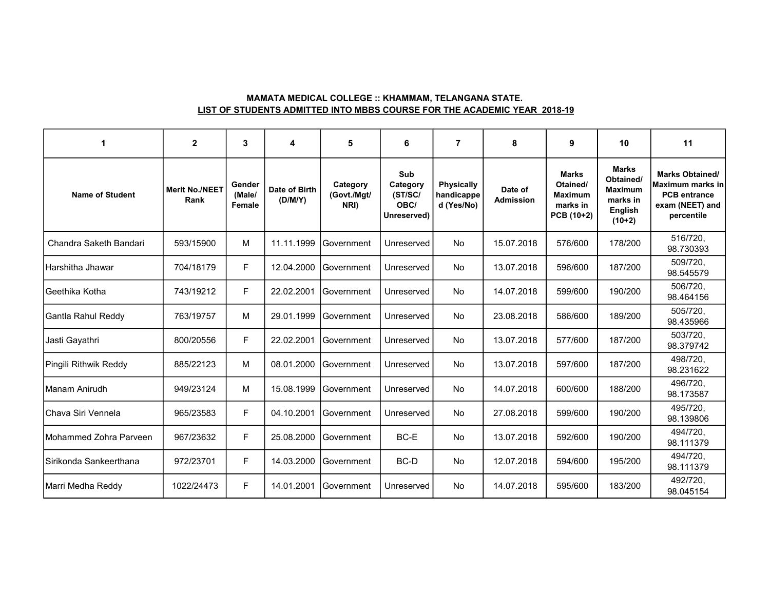## MAMATA MEDICAL COLLEGE :: KHAMMAM, TELANGANA STATE. LIST OF STUDENTS ADMITTED INTO MBBS COURSE FOR THE ACADEMIC YEAR 2018-19

| -1                     | $\mathbf{2}$                  | 3                          | 4                        | 5                               | 6                                                 | $\overline{7}$                                | 8                           | 9                                                                    | 10                                                                                    | 11                                                                                                 |
|------------------------|-------------------------------|----------------------------|--------------------------|---------------------------------|---------------------------------------------------|-----------------------------------------------|-----------------------------|----------------------------------------------------------------------|---------------------------------------------------------------------------------------|----------------------------------------------------------------------------------------------------|
| <b>Name of Student</b> | <b>Merit No./NEET</b><br>Rank | Gender<br>(Male/<br>Female | Date of Birth<br>(D/M/Y) | Category<br>(Govt./Mgt/<br>NRI) | Sub<br>Category<br>(ST/SC/<br>OBC/<br>Unreserved) | <b>Physically</b><br>handicappe<br>d (Yes/No) | Date of<br><b>Admission</b> | <b>Marks</b><br>Otained/<br><b>Maximum</b><br>marks in<br>PCB (10+2) | <b>Marks</b><br>Obtained/<br><b>Maximum</b><br>marks in<br><b>English</b><br>$(10+2)$ | <b>Marks Obtained/</b><br>Maximum marks in<br><b>PCB</b> entrance<br>exam (NEET) and<br>percentile |
| Chandra Saketh Bandari | 593/15900                     | M                          | 11.11.1999               | Government                      | Unreserved                                        | No                                            | 15.07.2018                  | 576/600                                                              | 178/200                                                                               | 516/720,<br>98.730393                                                                              |
| İHarshitha Jhawar      | 704/18179                     | F                          | 12.04.2000               | Government                      | Unreserved                                        | <b>No</b>                                     | 13.07.2018                  | 596/600                                                              | 187/200                                                                               | 509/720.<br>98.545579                                                                              |
| IGeethika Kotha        | 743/19212                     | F                          | 22.02.2001               | IGovernment                     | Unreserved                                        | <b>No</b>                                     | 14.07.2018                  | 599/600                                                              | 190/200                                                                               | 506/720,<br>98.464156                                                                              |
| Gantla Rahul Reddy     | 763/19757                     | M                          | 29.01.1999               | Government                      | Unreserved                                        | <b>No</b>                                     | 23.08.2018                  | 586/600                                                              | 189/200                                                                               | 505/720,<br>98.435966                                                                              |
| Jasti Gayathri         | 800/20556                     | E                          | 22.02.2001               | l Government                    | Unreserved                                        | No.                                           | 13.07.2018                  | 577/600                                                              | 187/200                                                                               | 503/720,<br>98.379742                                                                              |
| Pingili Rithwik Reddy  | 885/22123                     | м                          | 08.01.2000               | lGovernment                     | Unreserved                                        | No                                            | 13.07.2018                  | 597/600                                                              | 187/200                                                                               | 498/720,<br>98.231622                                                                              |
| IManam Anirudh         | 949/23124                     | М                          | 15.08.1999               | Government                      | Unreserved                                        | <b>No</b>                                     | 14.07.2018                  | 600/600                                                              | 188/200                                                                               | 496/720,<br>98.173587                                                                              |
| İChava Siri Vennela    | 965/23583                     | F                          | 04.10.2001               | <b>Sovernment</b>               | Unreserved                                        | No                                            | 27.08.2018                  | 599/600                                                              | 190/200                                                                               | 495/720,<br>98.139806                                                                              |
| Mohammed Zohra Parveen | 967/23632                     | F                          | 25.08.2000               | Government                      | BC-E                                              | <b>No</b>                                     | 13.07.2018                  | 592/600                                                              | 190/200                                                                               | 494/720.<br>98.111379                                                                              |
| Sirikonda Sankeerthana | 972/23701                     | F                          | 14.03.2000               | Government                      | BC-D                                              | No.                                           | 12.07.2018                  | 594/600                                                              | 195/200                                                                               | 494/720,<br>98.111379                                                                              |
| Marri Medha Reddy      | 1022/24473                    | F                          | 14.01.2001               | Government                      | Unreserved                                        | No.                                           | 14.07.2018                  | 595/600                                                              | 183/200                                                                               | 492/720,<br>98.045154                                                                              |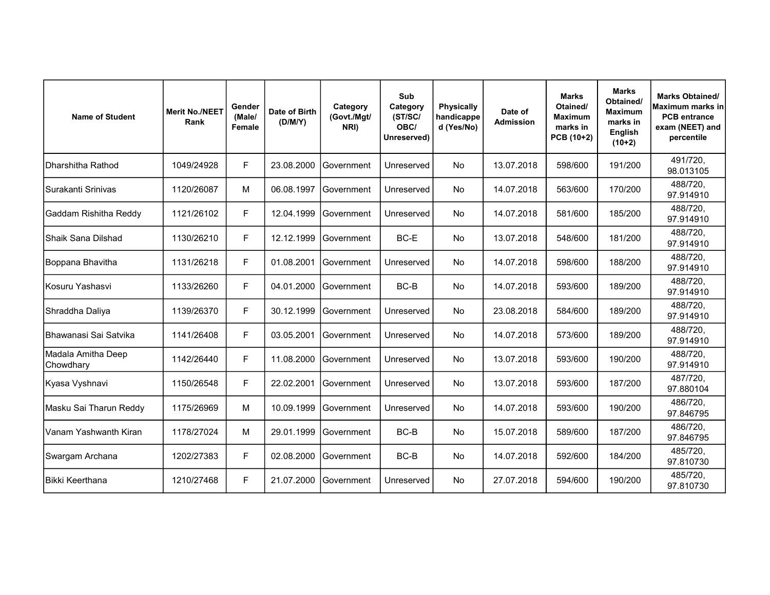| <b>Name of Student</b>          | <b>Merit No./NEET</b><br>Rank | Gender<br>(Male/<br>Female | Date of Birth<br>(D/M/Y) | Category<br>(Govt./Mgt/<br>NRI) | Sub<br>Category<br>(ST/SC/<br>OBC/<br>Unreserved) | <b>Physically</b><br>handicappe<br>d (Yes/No) | Date of<br><b>Admission</b> | <b>Marks</b><br>Otained/<br><b>Maximum</b><br>marks in<br>PCB (10+2) | <b>Marks</b><br>Obtained/<br><b>Maximum</b><br>marks in<br><b>English</b><br>$(10+2)$ | <b>Marks Obtained/</b><br>Maximum marks inl<br><b>PCB</b> entrance<br>exam (NEET) and<br>percentile |
|---------------------------------|-------------------------------|----------------------------|--------------------------|---------------------------------|---------------------------------------------------|-----------------------------------------------|-----------------------------|----------------------------------------------------------------------|---------------------------------------------------------------------------------------|-----------------------------------------------------------------------------------------------------|
| Dharshitha Rathod               | 1049/24928                    | F                          | 23.08.2000               | lGovernment                     | Unreserved                                        | No                                            | 13.07.2018                  | 598/600                                                              | 191/200                                                                               | 491/720,<br>98.013105                                                                               |
| Surakanti Srinivas              | 1120/26087                    | M                          | 06.08.1997               | Government                      | Unreserved                                        | <b>No</b>                                     | 14.07.2018                  | 563/600                                                              | 170/200                                                                               | 488/720.<br>97.914910                                                                               |
| Gaddam Rishitha Reddy           | 1121/26102                    | F                          | 12.04.1999               | Government                      | Unreserved                                        | No                                            | 14.07.2018                  | 581/600                                                              | 185/200                                                                               | 488/720,<br>97.914910                                                                               |
| Shaik Sana Dilshad              | 1130/26210                    | F                          | 12.12.1999               | <b>Government</b>               | BC-E                                              | No                                            | 13.07.2018                  | 548/600                                                              | 181/200                                                                               | 488/720,<br>97.914910                                                                               |
| Boppana Bhavitha                | 1131/26218                    | F                          | 01.08.2001               | l Government                    | Unreserved                                        | No                                            | 14.07.2018                  | 598/600                                                              | 188/200                                                                               | 488/720.<br>97.914910                                                                               |
| Kosuru Yashasvi                 | 1133/26260                    | F                          | 04.01.2000               | l Government                    | BC-B                                              | <b>No</b>                                     | 14.07.2018                  | 593/600                                                              | 189/200                                                                               | 488/720,<br>97.914910                                                                               |
| Shraddha Daliya                 | 1139/26370                    | F                          | 30.12.1999               | Government                      | Unreserved                                        | No                                            | 23.08.2018                  | 584/600                                                              | 189/200                                                                               | 488/720,<br>97.914910                                                                               |
| Bhawanasi Sai Satvika           | 1141/26408                    | F                          | 03.05.2001               | Government                      | Unreserved                                        | No                                            | 14.07.2018                  | 573/600                                                              | 189/200                                                                               | 488/720,<br>97.914910                                                                               |
| Madala Amitha Deep<br>Chowdhary | 1142/26440                    | F                          | 11.08.2000               | l Government                    | Unreserved                                        | No                                            | 13.07.2018                  | 593/600                                                              | 190/200                                                                               | 488/720,<br>97.914910                                                                               |
| Kyasa Vyshnavi                  | 1150/26548                    | F                          | 22.02.2001               | Government                      | Unreserved                                        | <b>No</b>                                     | 13.07.2018                  | 593/600                                                              | 187/200                                                                               | 487/720,<br>97.880104                                                                               |
| Masku Sai Tharun Reddy          | 1175/26969                    | M                          | 10.09.1999               | Government                      | Unreserved                                        | <b>No</b>                                     | 14.07.2018                  | 593/600                                                              | 190/200                                                                               | 486/720,<br>97.846795                                                                               |
| Vanam Yashwanth Kiran           | 1178/27024                    | M                          | 29.01.1999               | Government                      | BC-B                                              | <b>No</b>                                     | 15.07.2018                  | 589/600                                                              | 187/200                                                                               | 486/720,<br>97.846795                                                                               |
| Swargam Archana                 | 1202/27383                    | F                          | 02.08.2000               | Government                      | BC-B                                              | No                                            | 14.07.2018                  | 592/600                                                              | 184/200                                                                               | 485/720,<br>97.810730                                                                               |
| <b>Bikki Keerthana</b>          | 1210/27468                    | F                          | 21.07.2000               | Government                      | Unreserved                                        | No                                            | 27.07.2018                  | 594/600                                                              | 190/200                                                                               | 485/720,<br>97.810730                                                                               |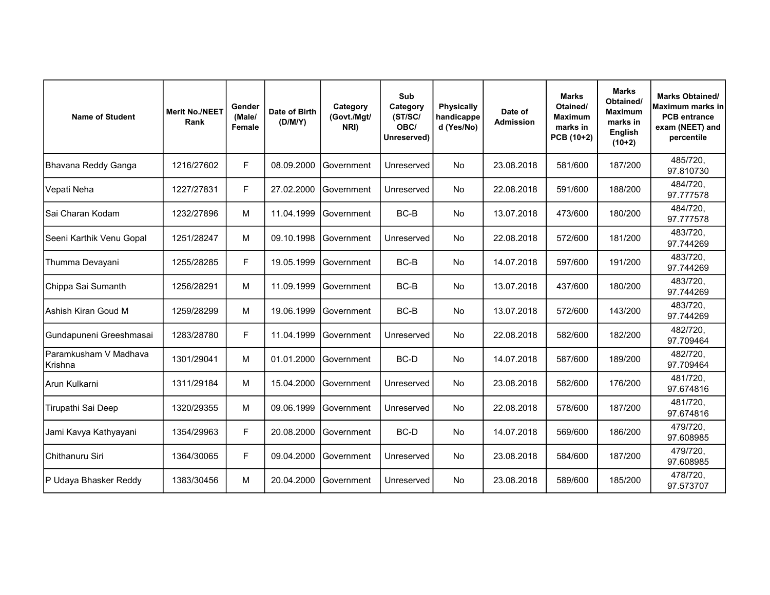| <b>Name of Student</b>           | <b>Merit No./NEET</b><br>Rank | Gender<br>(Male/<br>Female | Date of Birth<br>(D/M/Y) | Category<br>(Govt./Mgt/<br>NRI) | Sub<br>Category<br>(ST/SC/<br>OBC/<br>Unreserved) | <b>Physically</b><br>handicappe<br>d (Yes/No) | Date of<br><b>Admission</b> | <b>Marks</b><br>Otained/<br><b>Maximum</b><br>marks in<br>PCB (10+2) | <b>Marks</b><br>Obtained/<br><b>Maximum</b><br>marks in<br><b>English</b><br>$(10+2)$ | <b>Marks Obtained/</b><br>Maximum marks in<br><b>PCB</b> entrance<br>exam (NEET) and<br>percentile |
|----------------------------------|-------------------------------|----------------------------|--------------------------|---------------------------------|---------------------------------------------------|-----------------------------------------------|-----------------------------|----------------------------------------------------------------------|---------------------------------------------------------------------------------------|----------------------------------------------------------------------------------------------------|
| Bhavana Reddy Ganga              | 1216/27602                    | F                          | 08.09.2000               | Government                      | Unreserved                                        | <b>No</b>                                     | 23.08.2018                  | 581/600                                                              | 187/200                                                                               | 485/720,<br>97.810730                                                                              |
| Vepati Neha                      | 1227/27831                    | F                          | 27.02.2000               | Government                      | Unreserved                                        | <b>No</b>                                     | 22.08.2018                  | 591/600                                                              | 188/200                                                                               | 484/720,<br>97.777578                                                                              |
| Sai Charan Kodam                 | 1232/27896                    | M                          | 11.04.1999               | Government                      | BC-B                                              | No                                            | 13.07.2018                  | 473/600                                                              | 180/200                                                                               | 484/720,<br>97.777578                                                                              |
| Seeni Karthik Venu Gopal         | 1251/28247                    | M                          | 09.10.1998               | <b>Sovernment</b>               | Unreserved                                        | No                                            | 22.08.2018                  | 572/600                                                              | 181/200                                                                               | 483/720,<br>97.744269                                                                              |
| Thumma Devayani                  | 1255/28285                    | F                          | 19.05.1999               | lGovernment                     | BC-B                                              | No                                            | 14.07.2018                  | 597/600                                                              | 191/200                                                                               | 483/720,<br>97.744269                                                                              |
| Chippa Sai Sumanth               | 1256/28291                    | M                          | 11.09.1999               | Government                      | BC-B                                              | <b>No</b>                                     | 13.07.2018                  | 437/600                                                              | 180/200                                                                               | 483/720,<br>97.744269                                                                              |
| Ashish Kiran Goud M              | 1259/28299                    | M                          | 19.06.1999               | Government                      | BC-B                                              | <b>No</b>                                     | 13.07.2018                  | 572/600                                                              | 143/200                                                                               | 483/720,<br>97.744269                                                                              |
| Gundapuneni Greeshmasai          | 1283/28780                    | F                          | 11.04.1999               | Government                      | Unreserved                                        | <b>No</b>                                     | 22.08.2018                  | 582/600                                                              | 182/200                                                                               | 482/720.<br>97.709464                                                                              |
| Paramkusham V Madhava<br>Krishna | 1301/29041                    | M                          | 01.01.2000               | lGovernment                     | BC-D                                              | No                                            | 14.07.2018                  | 587/600                                                              | 189/200                                                                               | 482/720,<br>97.709464                                                                              |
| Arun Kulkarni                    | 1311/29184                    | M                          | 15.04.2000               | Government                      | Unreserved                                        | <b>No</b>                                     | 23.08.2018                  | 582/600                                                              | 176/200                                                                               | 481/720,<br>97.674816                                                                              |
| Tirupathi Sai Deep               | 1320/29355                    | м                          | 09.06.1999               | Government                      | Unreserved                                        | No                                            | 22.08.2018                  | 578/600                                                              | 187/200                                                                               | 481/720,<br>97.674816                                                                              |
| Jami Kavya Kathyayani            | 1354/29963                    | F                          | 20.08.2000               | lGovernment                     | BC-D                                              | <b>No</b>                                     | 14.07.2018                  | 569/600                                                              | 186/200                                                                               | 479/720,<br>97.608985                                                                              |
| Chithanuru Siri                  | 1364/30065                    | F                          | 09.04.2000               | Government                      | Unreserved                                        | No                                            | 23.08.2018                  | 584/600                                                              | 187/200                                                                               | 479/720,<br>97.608985                                                                              |
| P Udaya Bhasker Reddy            | 1383/30456                    | M                          | 20.04.2000               | Government                      | Unreserved                                        | <b>No</b>                                     | 23.08.2018                  | 589/600                                                              | 185/200                                                                               | 478/720,<br>97.573707                                                                              |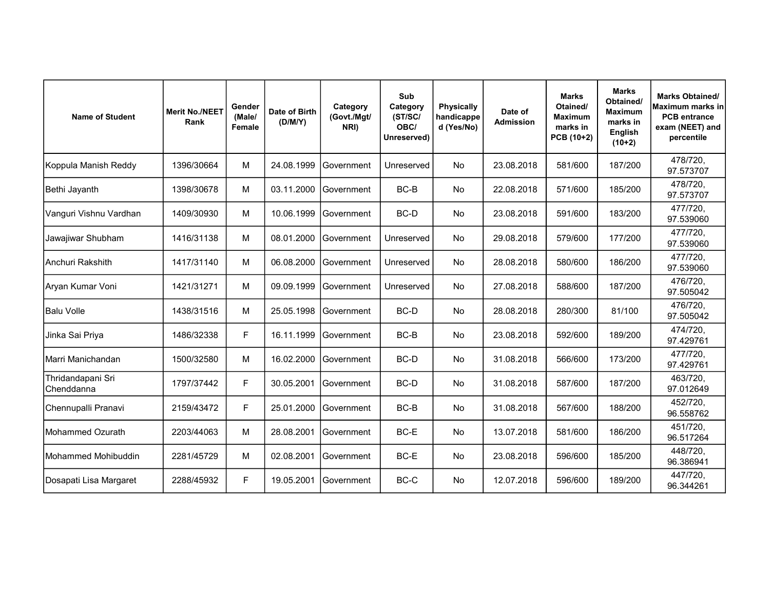| <b>Name of Student</b>          | <b>Merit No./NEET</b><br>Rank | Gender<br>(Male/<br>Female | Date of Birth<br>(D/M/Y) | Category<br>(Govt./Mgt/<br>NRI) | Sub<br>Category<br>(ST/SC/<br>OBC/<br>Unreserved) | <b>Physically</b><br>handicappe<br>d (Yes/No) | Date of<br><b>Admission</b> | <b>Marks</b><br>Otained/<br><b>Maximum</b><br>marks in<br>PCB (10+2) | <b>Marks</b><br>Obtained/<br><b>Maximum</b><br>marks in<br><b>English</b><br>$(10+2)$ | <b>Marks Obtained/</b><br>Maximum marks inl<br><b>PCB</b> entrance<br>exam (NEET) and<br>percentile |
|---------------------------------|-------------------------------|----------------------------|--------------------------|---------------------------------|---------------------------------------------------|-----------------------------------------------|-----------------------------|----------------------------------------------------------------------|---------------------------------------------------------------------------------------|-----------------------------------------------------------------------------------------------------|
| Koppula Manish Reddy            | 1396/30664                    | M                          | 24.08.1999               | lGovernment                     | Unreserved                                        | No                                            | 23.08.2018                  | 581/600                                                              | 187/200                                                                               | 478/720,<br>97.573707                                                                               |
| Bethi Jayanth                   | 1398/30678                    | M                          | 03.11.2000               | Government                      | BC-B                                              | <b>No</b>                                     | 22.08.2018                  | 571/600                                                              | 185/200                                                                               | 478/720,<br>97.573707                                                                               |
| Vanguri Vishnu Vardhan          | 1409/30930                    | M                          | 10.06.1999               | Government                      | BC-D                                              | <b>No</b>                                     | 23.08.2018                  | 591/600                                                              | 183/200                                                                               | 477/720,<br>97.539060                                                                               |
| Jawajiwar Shubham               | 1416/31138                    | M                          | 08.01.2000               | Government                      | Unreserved                                        | <b>No</b>                                     | 29.08.2018                  | 579/600                                                              | 177/200                                                                               | 477/720,<br>97.539060                                                                               |
| Anchuri Rakshith                | 1417/31140                    | M                          | 06.08.2000               | Government                      | Unreserved                                        | <b>No</b>                                     | 28.08.2018                  | 580/600                                                              | 186/200                                                                               | 477/720,<br>97.539060                                                                               |
| Aryan Kumar Voni                | 1421/31271                    | M                          | 09.09.1999               | Government                      | Unreserved                                        | No.                                           | 27.08.2018                  | 588/600                                                              | 187/200                                                                               | 476/720,<br>97.505042                                                                               |
| Balu Volle                      | 1438/31516                    | м                          | 25.05.1998               | Government                      | BC-D                                              | <b>No</b>                                     | 28.08.2018                  | 280/300                                                              | 81/100                                                                                | 476/720,<br>97.505042                                                                               |
| Jinka Sai Priya                 | 1486/32338                    | F                          | 16.11.1999               | Government                      | BC-B                                              | <b>No</b>                                     | 23.08.2018                  | 592/600                                                              | 189/200                                                                               | 474/720,<br>97.429761                                                                               |
| Marri Manichandan               | 1500/32580                    | M                          | 16.02.2000               | lGovernment                     | BC-D                                              | <b>No</b>                                     | 31.08.2018                  | 566/600                                                              | 173/200                                                                               | 477/720,<br>97.429761                                                                               |
| Thridandapani Sri<br>Chenddanna | 1797/37442                    | F                          | 30.05.2001               | <b>IGovernment</b>              | BC-D                                              | <b>No</b>                                     | 31.08.2018                  | 587/600                                                              | 187/200                                                                               | 463/720,<br>97.012649                                                                               |
| Chennupalli Pranavi             | 2159/43472                    | F                          | 25.01.2000               | l Government                    | BC-B                                              | <b>No</b>                                     | 31.08.2018                  | 567/600                                                              | 188/200                                                                               | 452/720,<br>96.558762                                                                               |
| Mohammed Ozurath                | 2203/44063                    | M                          | 28.08.2001               | Government                      | BC-E                                              | <b>No</b>                                     | 13.07.2018                  | 581/600                                                              | 186/200                                                                               | 451/720,<br>96.517264                                                                               |
| Mohammed Mohibuddin             | 2281/45729                    | M                          | 02.08.2001               | lGovernment                     | BC-E                                              | <b>No</b>                                     | 23.08.2018                  | 596/600                                                              | 185/200                                                                               | 448/720,<br>96.386941                                                                               |
| Dosapati Lisa Margaret          | 2288/45932                    | F                          | 19.05.2001               | Government                      | BC-C                                              | <b>No</b>                                     | 12.07.2018                  | 596/600                                                              | 189/200                                                                               | 447/720,<br>96.344261                                                                               |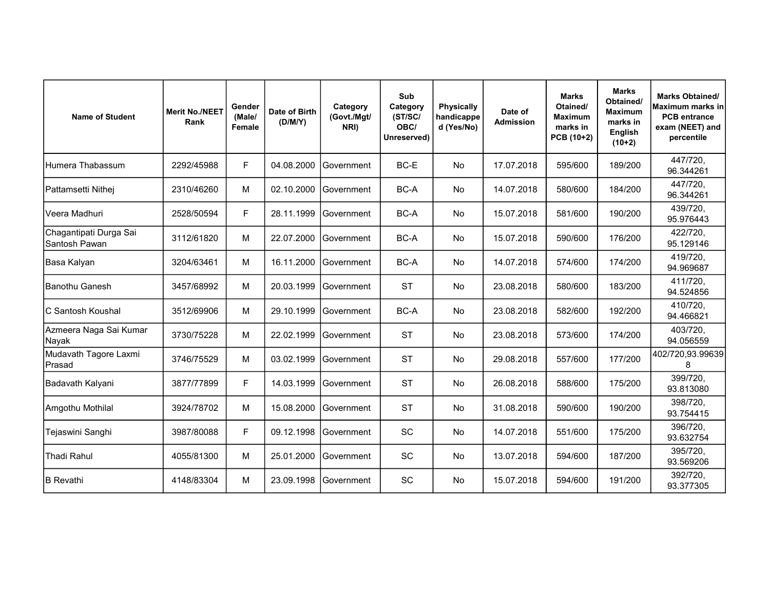| <b>Name of Student</b>                  | <b>Merit No./NEET</b><br>Rank | Gender<br>(Male/<br>Female | Date of Birth<br>(D/M/Y) | Category<br>(Govt./Mgt/<br>NRI) | Sub<br>Category<br>(ST/SC/<br>OBC/<br>Unreserved) | Physically<br>handicappe<br>d (Yes/No) | Date of<br><b>Admission</b> | <b>Marks</b><br>Otained/<br><b>Maximum</b><br>marks in<br>PCB (10+2) | <b>Marks</b><br>Obtained/<br><b>Maximum</b><br>marks in<br><b>English</b><br>$(10+2)$ | <b>Marks Obtained/</b><br>Maximum marks inl<br><b>PCB</b> entrance<br>exam (NEET) and<br>percentile |
|-----------------------------------------|-------------------------------|----------------------------|--------------------------|---------------------------------|---------------------------------------------------|----------------------------------------|-----------------------------|----------------------------------------------------------------------|---------------------------------------------------------------------------------------|-----------------------------------------------------------------------------------------------------|
| Humera Thabassum                        | 2292/45988                    | F                          | 04.08.2000               | Government                      | BC-E                                              | No                                     | 17.07.2018                  | 595/600                                                              | 189/200                                                                               | 447/720,<br>96.344261                                                                               |
| Pattamsetti Nithej                      | 2310/46260                    | M                          | 02.10.2000               | Government                      | BC-A                                              | No                                     | 14.07.2018                  | 580/600                                                              | 184/200                                                                               | 447/720.<br>96.344261                                                                               |
| Veera Madhuri                           | 2528/50594                    | F                          | 28.11.1999               | Government                      | BC-A                                              | No                                     | 15.07.2018                  | 581/600                                                              | 190/200                                                                               | 439/720,<br>95.976443                                                                               |
| Chagantipati Durga Sai<br>Santosh Pawan | 3112/61820                    | М                          | 22.07.2000               | Government                      | BC-A                                              | No                                     | 15.07.2018                  | 590/600                                                              | 176/200                                                                               | 422/720,<br>95.129146                                                                               |
| Basa Kalyan                             | 3204/63461                    | M                          | 16.11.2000               | Government                      | BC-A                                              | No                                     | 14.07.2018                  | 574/600                                                              | 174/200                                                                               | 419/720,<br>94.969687                                                                               |
| IBanothu Ganesh                         | 3457/68992                    | M                          | 20.03.1999               | Government                      | <b>ST</b>                                         | No                                     | 23.08.2018                  | 580/600                                                              | 183/200                                                                               | 411/720,<br>94.524856                                                                               |
| IC Santosh Koushal                      | 3512/69906                    | M                          | 29.10.1999               | Government                      | BC-A                                              | No                                     | 23.08.2018                  | 582/600                                                              | 192/200                                                                               | 410/720.<br>94.466821                                                                               |
| Azmeera Naga Sai Kumar<br>Nayak         | 3730/75228                    | M                          | 22.02.1999               | Government                      | <b>ST</b>                                         | <b>No</b>                              | 23.08.2018                  | 573/600                                                              | 174/200                                                                               | 403/720,<br>94.056559                                                                               |
| Mudavath Tagore Laxmi<br>Prasad         | 3746/75529                    | М                          | 03.02.1999               | lGovernment                     | <b>ST</b>                                         | No                                     | 29.08.2018                  | 557/600                                                              | 177/200                                                                               | 402/720,93.99639<br>8                                                                               |
| Badavath Kalyani                        | 3877/77899                    | F                          | 14.03.1999               | <b>Sovernment</b>               | <b>ST</b>                                         | <b>No</b>                              | 26.08.2018                  | 588/600                                                              | 175/200                                                                               | 399/720,<br>93.813080                                                                               |
| Amgothu Mothilal                        | 3924/78702                    | М                          | 15.08.2000               | Government                      | <b>ST</b>                                         | No                                     | 31.08.2018                  | 590/600                                                              | 190/200                                                                               | 398/720,<br>93.754415                                                                               |
| Tejaswini Sanghi                        | 3987/80088                    | F                          | 09.12.1998               | Government                      | SC                                                | No                                     | 14.07.2018                  | 551/600                                                              | 175/200                                                                               | 396/720,<br>93.632754                                                                               |
| <b>Thadi Rahul</b>                      | 4055/81300                    | М                          | 25.01.2000               | Government                      | SC                                                | No                                     | 13.07.2018                  | 594/600                                                              | 187/200                                                                               | 395/720,<br>93.569206                                                                               |
| <b>IB</b> Revathi                       | 4148/83304                    | M                          | 23.09.1998               | Government                      | SC                                                | No                                     | 15.07.2018                  | 594/600                                                              | 191/200                                                                               | 392/720,<br>93.377305                                                                               |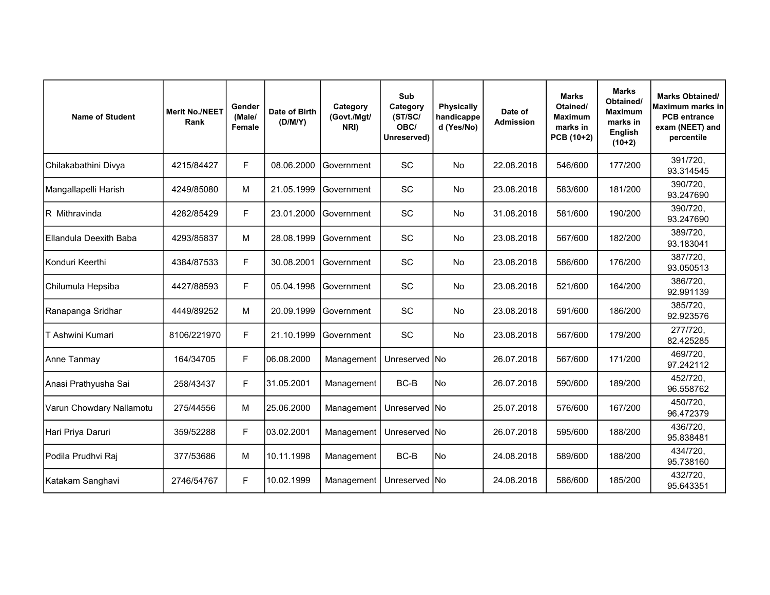| <b>Name of Student</b>   | <b>Merit No./NEET</b><br>Rank | Gender<br>(Male/<br><b>Female</b> | Date of Birth<br>(D/M/Y) | Category<br>(Govt./Mgt/<br>NRI) | Sub<br>Category<br>(ST/SC/<br>OBC/<br>Unreserved) | <b>Physically</b><br>handicappe<br>d (Yes/No) | Date of<br><b>Admission</b> | <b>Marks</b><br>Otained/<br><b>Maximum</b><br>marks in<br>PCB (10+2) | <b>Marks</b><br>Obtained/<br><b>Maximum</b><br>marks in<br><b>English</b><br>$(10+2)$ | <b>Marks Obtained/</b><br>Maximum marks in<br><b>PCB</b> entrance<br>exam (NEET) and<br>percentile |
|--------------------------|-------------------------------|-----------------------------------|--------------------------|---------------------------------|---------------------------------------------------|-----------------------------------------------|-----------------------------|----------------------------------------------------------------------|---------------------------------------------------------------------------------------|----------------------------------------------------------------------------------------------------|
| Chilakabathini Divya     | 4215/84427                    | F                                 | 08.06.2000               | Government                      | SC                                                | No                                            | 22.08.2018                  | 546/600                                                              | 177/200                                                                               | 391/720,<br>93.314545                                                                              |
| Mangallapelli Harish     | 4249/85080                    | M                                 | 21.05.1999               | lGovernment                     | SC                                                | <b>No</b>                                     | 23.08.2018                  | 583/600                                                              | 181/200                                                                               | 390/720,<br>93.247690                                                                              |
| R Mithravinda            | 4282/85429                    | F                                 | 23.01.2000               | Government                      | SC                                                | No                                            | 31.08.2018                  | 581/600                                                              | 190/200                                                                               | 390/720,<br>93.247690                                                                              |
| Ellandula Deexith Baba   | 4293/85837                    | M                                 | 28.08.1999               | l Government                    | <b>SC</b>                                         | <b>No</b>                                     | 23.08.2018                  | 567/600                                                              | 182/200                                                                               | 389/720,<br>93.183041                                                                              |
| Konduri Keerthi          | 4384/87533                    | F                                 | 30.08.2001               | <b>Government</b>               | SC                                                | No                                            | 23.08.2018                  | 586/600                                                              | 176/200                                                                               | 387/720,<br>93.050513                                                                              |
| Chilumula Hepsiba        | 4427/88593                    | F                                 | 05.04.1998               | Government                      | SC                                                | <b>No</b>                                     | 23.08.2018                  | 521/600                                                              | 164/200                                                                               | 386/720,<br>92.991139                                                                              |
| Ranapanga Sridhar        | 4449/89252                    | M                                 | 20.09.1999               | Government                      | SC                                                | No                                            | 23.08.2018                  | 591/600                                                              | 186/200                                                                               | 385/720,<br>92.923576                                                                              |
| T Ashwini Kumari         | 8106/221970                   | F                                 | 21.10.1999               | Government                      | SC                                                | No                                            | 23.08.2018                  | 567/600                                                              | 179/200                                                                               | 277/720,<br>82.425285                                                                              |
| Anne Tanmay              | 164/34705                     | F                                 | 06.08.2000               | Management                      | Unreserved INo                                    |                                               | 26.07.2018                  | 567/600                                                              | 171/200                                                                               | 469/720,<br>97.242112                                                                              |
| Anasi Prathyusha Sai     | 258/43437                     | F                                 | 31.05.2001               | Management                      | BC-B                                              | No                                            | 26.07.2018                  | 590/600                                                              | 189/200                                                                               | 452/720,<br>96.558762                                                                              |
| Varun Chowdary Nallamotu | 275/44556                     | М                                 | 25.06.2000               | Management                      | Unreserved INo                                    |                                               | 25.07.2018                  | 576/600                                                              | 167/200                                                                               | 450/720,<br>96.472379                                                                              |
| Hari Priya Daruri        | 359/52288                     | F                                 | 03.02.2001               | Management                      | Unreserved No                                     |                                               | 26.07.2018                  | 595/600                                                              | 188/200                                                                               | 436/720,<br>95.838481                                                                              |
| Podila Prudhvi Raj       | 377/53686                     | M                                 | 10.11.1998               | Management                      | BC-B                                              | No)                                           | 24.08.2018                  | 589/600                                                              | 188/200                                                                               | 434/720,<br>95.738160                                                                              |
| Katakam Sanghavi         | 2746/54767                    | F                                 | 10.02.1999               | Management                      | Unreserved INo                                    |                                               | 24.08.2018                  | 586/600                                                              | 185/200                                                                               | 432/720,<br>95.643351                                                                              |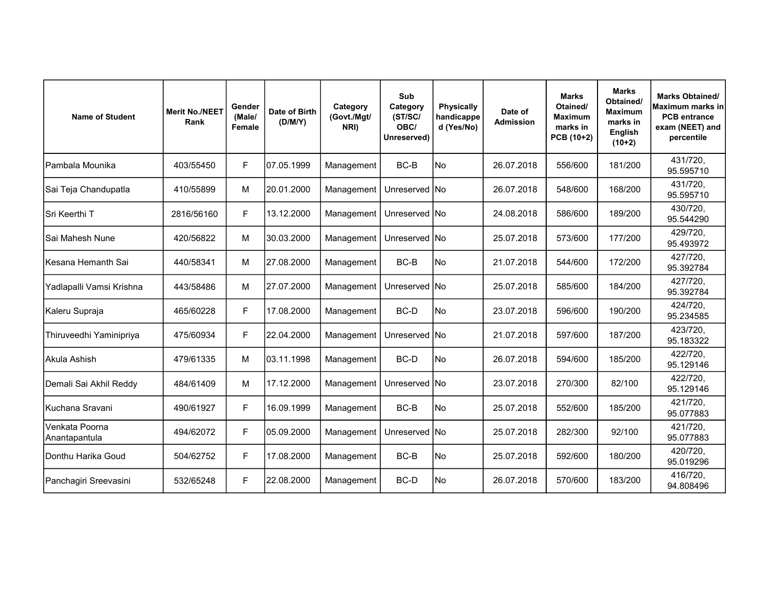| <b>Name of Student</b>          | <b>Merit No./NEET</b><br>Rank | Gender<br>(Male/<br>Female | Date of Birth<br>(D/M/Y) | Category<br>(Govt./Mgt/<br>NRI) | Sub<br>Category<br>(ST/SC/<br>OBC/<br>Unreserved) | <b>Physically</b><br>handicappe<br>d (Yes/No) | Date of<br><b>Admission</b> | <b>Marks</b><br>Otained/<br><b>Maximum</b><br>marks in<br>PCB (10+2) | <b>Marks</b><br>Obtained/<br><b>Maximum</b><br>marks in<br><b>English</b><br>$(10+2)$ | <b>Marks Obtained/</b><br>Maximum marks in<br><b>PCB</b> entrance<br>exam (NEET) and<br>percentile |
|---------------------------------|-------------------------------|----------------------------|--------------------------|---------------------------------|---------------------------------------------------|-----------------------------------------------|-----------------------------|----------------------------------------------------------------------|---------------------------------------------------------------------------------------|----------------------------------------------------------------------------------------------------|
| lPambala Mounika                | 403/55450                     | F                          | 07.05.1999               | Management                      | BC-B                                              | No.                                           | 26.07.2018                  | 556/600                                                              | 181/200                                                                               | 431/720,<br>95.595710                                                                              |
| Sai Teja Chandupatla            | 410/55899                     | М                          | 20.01.2000               | Management                      | Unreserved INo                                    |                                               | 26.07.2018                  | 548/600                                                              | 168/200                                                                               | 431/720,<br>95.595710                                                                              |
| Sri Keerthi T                   | 2816/56160                    | F                          | 13.12.2000               | Management                      | Unreserved INo                                    |                                               | 24.08.2018                  | 586/600                                                              | 189/200                                                                               | 430/720.<br>95.544290                                                                              |
| Sai Mahesh Nune                 | 420/56822                     | M                          | 30.03.2000               | Management                      | Unreserved INo                                    |                                               | 25.07.2018                  | 573/600                                                              | 177/200                                                                               | 429/720,<br>95.493972                                                                              |
| İKesana Hemanth Sai             | 440/58341                     | М                          | 27.08.2000               | Management                      | BC-B                                              | No.                                           | 21.07.2018                  | 544/600                                                              | 172/200                                                                               | 427/720,<br>95.392784                                                                              |
| Yadlapalli Vamsi Krishna        | 443/58486                     | М                          | 27.07.2000               | Management                      | Unreserved INo                                    |                                               | 25.07.2018                  | 585/600                                                              | 184/200                                                                               | 427/720,<br>95.392784                                                                              |
| Kaleru Supraja                  | 465/60228                     | F                          | 17.08.2000               | Management                      | BC-D                                              | lNo.                                          | 23.07.2018                  | 596/600                                                              | 190/200                                                                               | 424/720,<br>95.234585                                                                              |
| Thiruveedhi Yaminipriya         | 475/60934                     | F                          | 22.04.2000               | Management                      | Unreserved INo                                    |                                               | 21.07.2018                  | 597/600                                                              | 187/200                                                                               | 423/720,<br>95.183322                                                                              |
| İAkula Ashish                   | 479/61335                     | М                          | 03.11.1998               | Management                      | BC-D                                              | No)                                           | 26.07.2018                  | 594/600                                                              | 185/200                                                                               | 422/720,<br>95.129146                                                                              |
| Demali Sai Akhil Reddy          | 484/61409                     | М                          | 17.12.2000               | Management                      | Unreserved INo                                    |                                               | 23.07.2018                  | 270/300                                                              | 82/100                                                                                | 422/720,<br>95.129146                                                                              |
| Kuchana Sravani                 | 490/61927                     | F                          | 16.09.1999               | Management                      | BC-B                                              | No                                            | 25.07.2018                  | 552/600                                                              | 185/200                                                                               | 421/720,<br>95.077883                                                                              |
| Venkata Poorna<br>Anantapantula | 494/62072                     | F                          | 05.09.2000               | Management                      | Unreserved INo                                    |                                               | 25.07.2018                  | 282/300                                                              | 92/100                                                                                | 421/720,<br>95.077883                                                                              |
| Donthu Harika Goud              | 504/62752                     | F                          | 17.08.2000               | Management                      | BC-B                                              | No                                            | 25.07.2018                  | 592/600                                                              | 180/200                                                                               | 420/720,<br>95.019296                                                                              |
| Panchagiri Sreevasini           | 532/65248                     | F                          | 22.08.2000               | Management                      | BC-D                                              | No                                            | 26.07.2018                  | 570/600                                                              | 183/200                                                                               | 416/720,<br>94.808496                                                                              |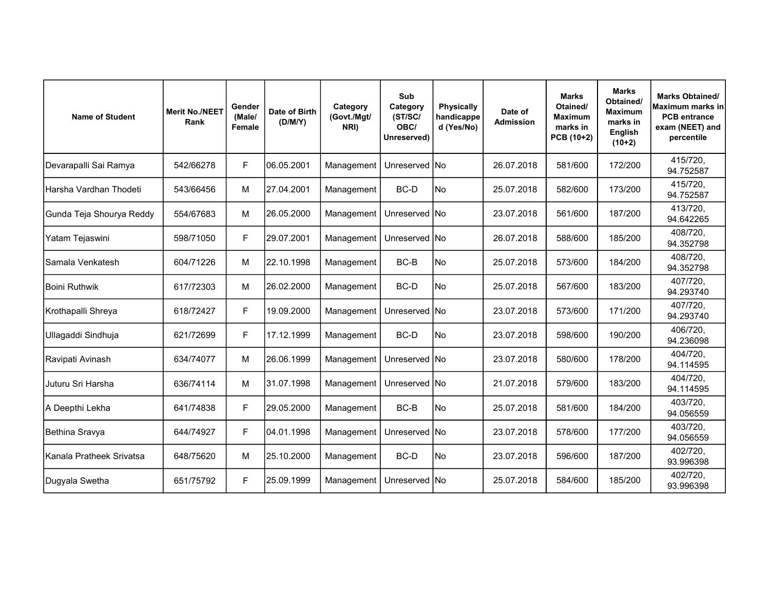| <b>Name of Student</b>   | <b>Merit No./NEET</b><br>Rank | Gender<br>(Male/<br>Female | Date of Birth<br>(D/M/Y) | Category<br>(Govt./Mgt/<br>NRI) | Sub<br>Category<br>(ST/SC/<br>OBC/<br>Unreserved) | <b>Physically</b><br>handicappe<br>d (Yes/No) | Date of<br><b>Admission</b> | <b>Marks</b><br>Otained/<br><b>Maximum</b><br>marks in<br>PCB (10+2) | <b>Marks</b><br>Obtained/<br><b>Maximum</b><br>marks in<br><b>English</b><br>$(10+2)$ | <b>Marks Obtained/</b><br>Maximum marks in<br><b>PCB</b> entrance<br>exam (NEET) and<br>percentile |
|--------------------------|-------------------------------|----------------------------|--------------------------|---------------------------------|---------------------------------------------------|-----------------------------------------------|-----------------------------|----------------------------------------------------------------------|---------------------------------------------------------------------------------------|----------------------------------------------------------------------------------------------------|
| Devarapalli Sai Ramya    | 542/66278                     | F                          | 06.05.2001               | Management                      | Unreserved INo                                    |                                               | 26.07.2018                  | 581/600                                                              | 172/200                                                                               | 415/720,<br>94.752587                                                                              |
| Harsha Vardhan Thodeti   | 543/66456                     | M                          | 27.04.2001               | Management                      | BC-D                                              | lNo                                           | 25.07.2018                  | 582/600                                                              | 173/200                                                                               | 415/720,<br>94.752587                                                                              |
| Gunda Teja Shourya Reddy | 554/67683                     | M                          | 26.05.2000               | Management                      | Unreserved INo                                    |                                               | 23.07.2018                  | 561/600                                                              | 187/200                                                                               | 413/720,<br>94.642265                                                                              |
| Yatam Tejaswini          | 598/71050                     | F                          | 29.07.2001               | Management                      | Unreserved   No                                   |                                               | 26.07.2018                  | 588/600                                                              | 185/200                                                                               | 408/720,<br>94.352798                                                                              |
| Samala Venkatesh         | 604/71226                     | M                          | 22.10.1998               | Management                      | BC-B                                              | lNo.                                          | 25.07.2018                  | 573/600                                                              | 184/200                                                                               | 408/720,<br>94.352798                                                                              |
| <b>Boini Ruthwik</b>     | 617/72303                     | М                          | 26.02.2000               | Management                      | BC-D                                              | lNo                                           | 25.07.2018                  | 567/600                                                              | 183/200                                                                               | 407/720,<br>94.293740                                                                              |
| Krothapalli Shreya       | 618/72427                     | F                          | 19.09.2000               | Management                      | Unreserved INo                                    |                                               | 23.07.2018                  | 573/600                                                              | 171/200                                                                               | 407/720,<br>94.293740                                                                              |
| Ullagaddi Sindhuja       | 621/72699                     | F                          | 17.12.1999               | Management                      | BC-D                                              | No                                            | 23.07.2018                  | 598/600                                                              | 190/200                                                                               | 406/720,<br>94.236098                                                                              |
| Ravipati Avinash         | 634/74077                     | M                          | 26.06.1999               | Management                      | Unreserved INo                                    |                                               | 23.07.2018                  | 580/600                                                              | 178/200                                                                               | 404/720,<br>94.114595                                                                              |
| Juturu Sri Harsha        | 636/74114                     | M                          | 31.07.1998               | Management                      | Unreserved No                                     |                                               | 21.07.2018                  | 579/600                                                              | 183/200                                                                               | 404/720,<br>94.114595                                                                              |
| A Deepthi Lekha          | 641/74838                     | F                          | 29.05.2000               | Management                      | BC-B                                              | lNo                                           | 25.07.2018                  | 581/600                                                              | 184/200                                                                               | 403/720,<br>94.056559                                                                              |
| Bethina Sravya           | 644/74927                     | F                          | 04.01.1998               | Management                      | Unreserved No                                     |                                               | 23.07.2018                  | 578/600                                                              | 177/200                                                                               | 403/720,<br>94.056559                                                                              |
| Kanala Pratheek Srivatsa | 648/75620                     | М                          | 25.10.2000               | Management                      | BC-D                                              | No                                            | 23.07.2018                  | 596/600                                                              | 187/200                                                                               | 402/720,<br>93.996398                                                                              |
| Dugyala Swetha           | 651/75792                     | F                          | 25.09.1999               | Management                      | Unreserved INo                                    |                                               | 25.07.2018                  | 584/600                                                              | 185/200                                                                               | 402/720,<br>93.996398                                                                              |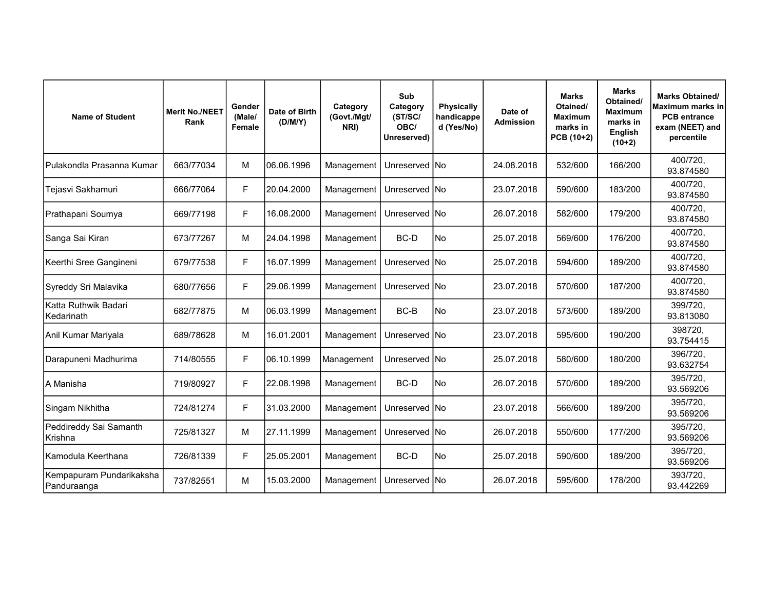| <b>Name of Student</b>                  | <b>Merit No./NEET</b><br>Rank | Gender<br>(Male/<br>Female | Date of Birth<br>(D/M/Y) | Category<br>(Govt./Mgt/<br>NRI) | Sub<br>Category<br>(ST/SC/<br>OBC/<br>Unreserved) | <b>Physically</b><br>handicappe<br>d (Yes/No) | Date of<br><b>Admission</b> | <b>Marks</b><br>Otained/<br><b>Maximum</b><br>marks in<br>PCB (10+2) | <b>Marks</b><br>Obtained/<br><b>Maximum</b><br>marks in<br><b>English</b><br>$(10+2)$ | <b>Marks Obtained/</b><br>Maximum marks in<br><b>PCB</b> entrance<br>exam (NEET) and<br>percentile |
|-----------------------------------------|-------------------------------|----------------------------|--------------------------|---------------------------------|---------------------------------------------------|-----------------------------------------------|-----------------------------|----------------------------------------------------------------------|---------------------------------------------------------------------------------------|----------------------------------------------------------------------------------------------------|
| Pulakondla Prasanna Kumar               | 663/77034                     | М                          | 06.06.1996               | Management                      | Unreserved INo                                    |                                               | 24.08.2018                  | 532/600                                                              | 166/200                                                                               | 400/720,<br>93.874580                                                                              |
| Tejasvi Sakhamuri                       | 666/77064                     | F                          | 20.04.2000               | Management                      | Unreserved INo                                    |                                               | 23.07.2018                  | 590/600                                                              | 183/200                                                                               | 400/720,<br>93.874580                                                                              |
| Prathapani Soumya                       | 669/77198                     | F                          | 16.08.2000               | Management                      | Unreserved INo                                    |                                               | 26.07.2018                  | 582/600                                                              | 179/200                                                                               | 400/720,<br>93.874580                                                                              |
| Sanga Sai Kiran                         | 673/77267                     | М                          | 24.04.1998               | Management                      | BC-D                                              | lNo                                           | 25.07.2018                  | 569/600                                                              | 176/200                                                                               | 400/720,<br>93.874580                                                                              |
| Keerthi Sree Gangineni                  | 679/77538                     | F                          | 16.07.1999               | Management                      | Unreserved INo                                    |                                               | 25.07.2018                  | 594/600                                                              | 189/200                                                                               | 400/720,<br>93.874580                                                                              |
| Syreddy Sri Malavika                    | 680/77656                     | F                          | 29.06.1999               | Management                      | Unreserved No                                     |                                               | 23.07.2018                  | 570/600                                                              | 187/200                                                                               | 400/720,<br>93.874580                                                                              |
| Katta Ruthwik Badari<br>Kedarinath      | 682/77875                     | м                          | 06.03.1999               | Management                      | BC-B                                              | No                                            | 23.07.2018                  | 573/600                                                              | 189/200                                                                               | 399/720,<br>93.813080                                                                              |
| Anil Kumar Mariyala                     | 689/78628                     | М                          | 16.01.2001               | Management                      | Unreserved INo                                    |                                               | 23.07.2018                  | 595/600                                                              | 190/200                                                                               | 398720,<br>93.754415                                                                               |
| Darapuneni Madhurima                    | 714/80555                     | F                          | 06.10.1999               | Management                      | Unreserved   No                                   |                                               | 25.07.2018                  | 580/600                                                              | 180/200                                                                               | 396/720,<br>93.632754                                                                              |
| A Manisha                               | 719/80927                     | F                          | 22.08.1998               | Management                      | BC-D                                              | lNo                                           | 26.07.2018                  | 570/600                                                              | 189/200                                                                               | 395/720,<br>93.569206                                                                              |
| Singam Nikhitha                         | 724/81274                     | F                          | 31.03.2000               | Management                      | Unreserved INo                                    |                                               | 23.07.2018                  | 566/600                                                              | 189/200                                                                               | 395/720,<br>93.569206                                                                              |
| Peddireddy Sai Samanth<br>Krishna       | 725/81327                     | М                          | 27.11.1999               | Management                      | Unreserved No                                     |                                               | 26.07.2018                  | 550/600                                                              | 177/200                                                                               | 395/720,<br>93.569206                                                                              |
| Kamodula Keerthana                      | 726/81339                     | F                          | 25.05.2001               | Management                      | BC-D                                              | No                                            | 25.07.2018                  | 590/600                                                              | 189/200                                                                               | 395/720,<br>93.569206                                                                              |
| Kempapuram Pundarikaksha<br>Panduraanga | 737/82551                     | М                          | 15.03.2000               | Management                      | Unreserved INo                                    |                                               | 26.07.2018                  | 595/600                                                              | 178/200                                                                               | 393/720,<br>93.442269                                                                              |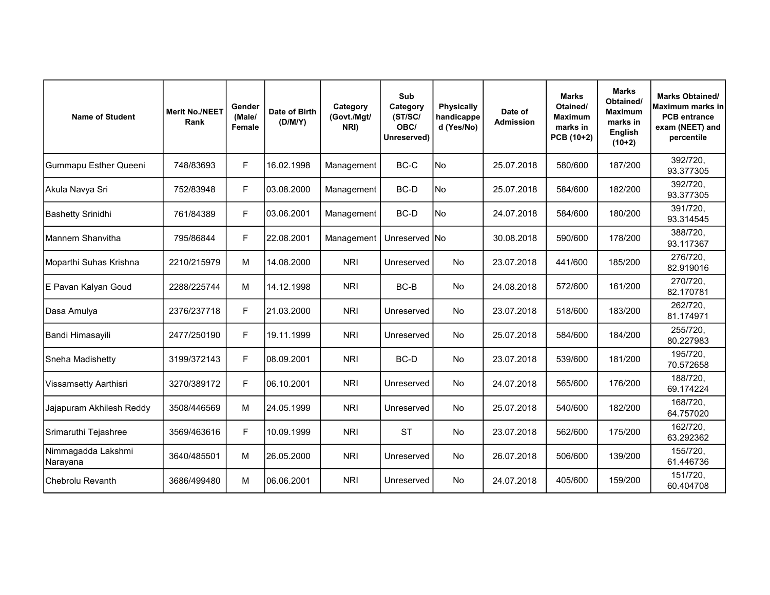| <b>Name of Student</b>         | <b>Merit No./NEET</b><br>Rank | Gender<br>(Male/<br>Female | Date of Birth<br>(D/M/Y) | Category<br>(Govt./Mgt/<br>NRI) | Sub<br>Category<br>(ST/SC/<br>OBC/<br>Unreserved) | <b>Physically</b><br>handicappe<br>d (Yes/No) | Date of<br><b>Admission</b> | <b>Marks</b><br>Otained/<br><b>Maximum</b><br>marks in<br>PCB (10+2) | <b>Marks</b><br>Obtained/<br><b>Maximum</b><br>marks in<br><b>English</b><br>$(10+2)$ | <b>Marks Obtained/</b><br>Maximum marks in<br><b>PCB</b> entrance<br>exam (NEET) and<br>percentile |
|--------------------------------|-------------------------------|----------------------------|--------------------------|---------------------------------|---------------------------------------------------|-----------------------------------------------|-----------------------------|----------------------------------------------------------------------|---------------------------------------------------------------------------------------|----------------------------------------------------------------------------------------------------|
| <b>Gummapu Esther Queeni</b>   | 748/83693                     | F                          | 16.02.1998               | Management                      | BC-C                                              | No                                            | 25.07.2018                  | 580/600                                                              | 187/200                                                                               | 392/720,<br>93.377305                                                                              |
| Akula Navya Sri                | 752/83948                     | F                          | 03.08.2000               | Management                      | BC-D                                              | lNo                                           | 25.07.2018                  | 584/600                                                              | 182/200                                                                               | 392/720,<br>93.377305                                                                              |
| <b>Bashetty Srinidhi</b>       | 761/84389                     | F                          | 03.06.2001               | Management                      | BC-D                                              | No                                            | 24.07.2018                  | 584/600                                                              | 180/200                                                                               | 391/720,<br>93.314545                                                                              |
| Mannem Shanvitha               | 795/86844                     | F                          | 22.08.2001               | Management                      | Unreserved No                                     |                                               | 30.08.2018                  | 590/600                                                              | 178/200                                                                               | 388/720,<br>93.117367                                                                              |
| Moparthi Suhas Krishna         | 2210/215979                   | M                          | 14.08.2000               | <b>NRI</b>                      | Unreserved                                        | <b>No</b>                                     | 23.07.2018                  | 441/600                                                              | 185/200                                                                               | 276/720,<br>82.919016                                                                              |
| E Pavan Kalyan Goud            | 2288/225744                   | М                          | 14.12.1998               | <b>NRI</b>                      | BC-B                                              | <b>No</b>                                     | 24.08.2018                  | 572/600                                                              | 161/200                                                                               | 270/720,<br>82.170781                                                                              |
| Dasa Amulya                    | 2376/237718                   | F                          | 21.03.2000               | <b>NRI</b>                      | Unreserved                                        | <b>No</b>                                     | 23.07.2018                  | 518/600                                                              | 183/200                                                                               | 262/720,<br>81.174971                                                                              |
| Bandi Himasayili               | 2477/250190                   | $\mathsf F$                | 19.11.1999               | <b>NRI</b>                      | Unreserved                                        | <b>No</b>                                     | 25.07.2018                  | 584/600                                                              | 184/200                                                                               | 255/720,<br>80.227983                                                                              |
| Sneha Madishetty               | 3199/372143                   | F                          | 08.09.2001               | <b>NRI</b>                      | BC-D                                              | <b>No</b>                                     | 23.07.2018                  | 539/600                                                              | 181/200                                                                               | 195/720,<br>70.572658                                                                              |
| Vissamsetty Aarthisri          | 3270/389172                   | F                          | 06.10.2001               | <b>NRI</b>                      | Unreserved                                        | <b>No</b>                                     | 24.07.2018                  | 565/600                                                              | 176/200                                                                               | 188/720,<br>69.174224                                                                              |
| Jajapuram Akhilesh Reddy       | 3508/446569                   | M                          | l24.05.1999              | <b>NRI</b>                      | Unreserved                                        | <b>No</b>                                     | 25.07.2018                  | 540/600                                                              | 182/200                                                                               | 168/720,<br>64.757020                                                                              |
| Srimaruthi Tejashree           | 3569/463616                   | F                          | 10.09.1999               | <b>NRI</b>                      | <b>ST</b>                                         | <b>No</b>                                     | 23.07.2018                  | 562/600                                                              | 175/200                                                                               | 162/720,<br>63.292362                                                                              |
| Nimmagadda Lakshmi<br>Narayana | 3640/485501                   | М                          | 26.05.2000               | <b>NRI</b>                      | Unreserved                                        | No                                            | 26.07.2018                  | 506/600                                                              | 139/200                                                                               | 155/720,<br>61.446736                                                                              |
| Chebrolu Revanth               | 3686/499480                   | М                          | 06.06.2001               | <b>NRI</b>                      | Unreserved                                        | No                                            | 24.07.2018                  | 405/600                                                              | 159/200                                                                               | 151/720,<br>60.404708                                                                              |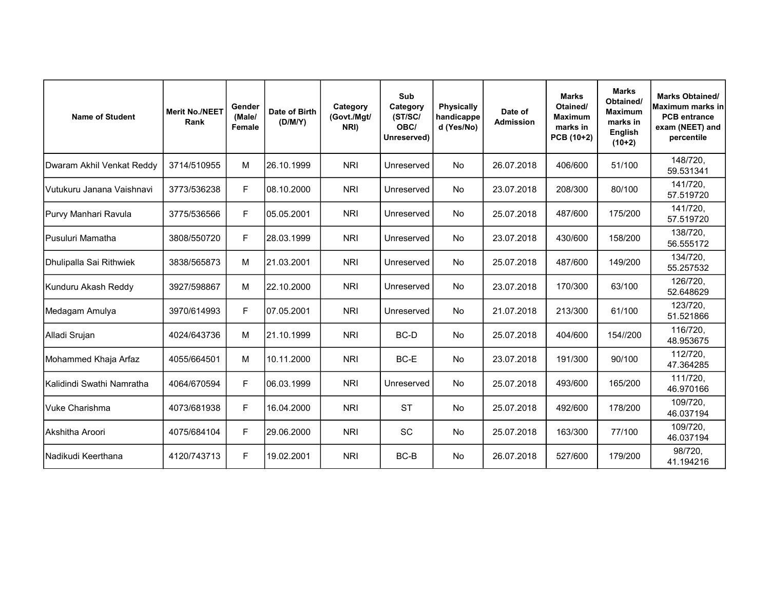| <b>Name of Student</b>    | <b>Merit No./NEET</b><br>Rank | Gender<br>(Male/<br>Female | Date of Birth<br>(D/M/Y) | Category<br>(Govt./Mgt/<br>NRI) | Sub<br>Category<br>(ST/SC/<br>OBC/<br>Unreserved) | <b>Physically</b><br>handicappe<br>d (Yes/No) | Date of<br><b>Admission</b> | <b>Marks</b><br>Otained/<br><b>Maximum</b><br>marks in<br>PCB (10+2) | <b>Marks</b><br>Obtained/<br><b>Maximum</b><br>marks in<br><b>English</b><br>$(10+2)$ | <b>Marks Obtained/</b><br>Maximum marks in<br><b>PCB</b> entrance<br>exam (NEET) and<br>percentile |
|---------------------------|-------------------------------|----------------------------|--------------------------|---------------------------------|---------------------------------------------------|-----------------------------------------------|-----------------------------|----------------------------------------------------------------------|---------------------------------------------------------------------------------------|----------------------------------------------------------------------------------------------------|
| Dwaram Akhil Venkat Reddy | 3714/510955                   | м                          | 26.10.1999               | <b>NRI</b>                      | Unreserved                                        | No                                            | 26.07.2018                  | 406/600                                                              | 51/100                                                                                | 148/720,<br>59.531341                                                                              |
| Vutukuru Janana Vaishnavi | 3773/536238                   | F                          | 08.10.2000               | <b>NRI</b>                      | Unreserved                                        | <b>No</b>                                     | 23.07.2018                  | 208/300                                                              | 80/100                                                                                | 141/720.<br>57.519720                                                                              |
| Purvy Manhari Ravula      | 3775/536566                   | F                          | 05.05.2001               | <b>NRI</b>                      | Unreserved                                        | <b>No</b>                                     | 25.07.2018                  | 487/600                                                              | 175/200                                                                               | 141/720,<br>57.519720                                                                              |
| Pusuluri Mamatha          | 3808/550720                   | F                          | 28.03.1999               | <b>NRI</b>                      | Unreserved                                        | No.                                           | 23.07.2018                  | 430/600                                                              | 158/200                                                                               | 138/720,<br>56.555172                                                                              |
| Dhulipalla Sai Rithwiek   | 3838/565873                   | М                          | 21.03.2001               | <b>NRI</b>                      | Unreserved                                        | <b>No</b>                                     | 25.07.2018                  | 487/600                                                              | 149/200                                                                               | 134/720,<br>55.257532                                                                              |
| Kunduru Akash Reddy       | 3927/598867                   | м                          | 22.10.2000               | <b>NRI</b>                      | Unreserved                                        | <b>No</b>                                     | 23.07.2018                  | 170/300                                                              | 63/100                                                                                | 126/720.<br>52.648629                                                                              |
| Medagam Amulya            | 3970/614993                   | F                          | 07.05.2001               | <b>NRI</b>                      | Unreserved                                        | <b>No</b>                                     | 21.07.2018                  | 213/300                                                              | 61/100                                                                                | 123/720,<br>51.521866                                                                              |
| Alladi Srujan             | 4024/643736                   | M                          | 21.10.1999               | <b>NRI</b>                      | BC-D                                              | <b>No</b>                                     | 25.07.2018                  | 404/600                                                              | 154//200                                                                              | 116/720,<br>48.953675                                                                              |
| Mohammed Khaja Arfaz      | 4055/664501                   | м                          | 10.11.2000               | <b>NRI</b>                      | BC-E                                              | <b>No</b>                                     | 23.07.2018                  | 191/300                                                              | 90/100                                                                                | 112/720,<br>47.364285                                                                              |
| Kalidindi Swathi Namratha | 4064/670594                   | F                          | 06.03.1999               | <b>NRI</b>                      | Unreserved                                        | <b>No</b>                                     | 25.07.2018                  | 493/600                                                              | 165/200                                                                               | 111/720,<br>46.970166                                                                              |
| Vuke Charishma            | 4073/681938                   | F                          | 16.04.2000               | <b>NRI</b>                      | <b>ST</b>                                         | No                                            | 25.07.2018                  | 492/600                                                              | 178/200                                                                               | 109/720,<br>46.037194                                                                              |
| Akshitha Aroori           | 4075/684104                   | F                          | 29.06.2000               | <b>NRI</b>                      | <b>SC</b>                                         | No.                                           | 25.07.2018                  | 163/300                                                              | 77/100                                                                                | 109/720,<br>46.037194                                                                              |
| Nadikudi Keerthana        | 4120/743713                   | F                          | 19.02.2001               | <b>NRI</b>                      | BC-B                                              | No                                            | 26.07.2018                  | 527/600                                                              | 179/200                                                                               | 98/720.<br>41.194216                                                                               |